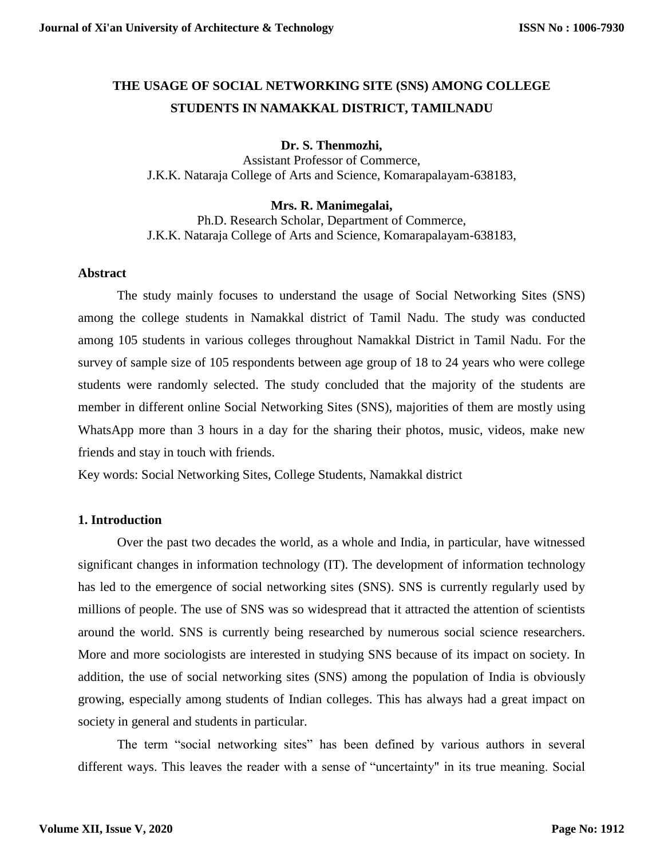# **THE USAGE OF SOCIAL NETWORKING SITE (SNS) AMONG COLLEGE STUDENTS IN NAMAKKAL DISTRICT, TAMILNADU**

### **Dr. S. Thenmozhi,**

Assistant Professor of Commerce, J.K.K. Nataraja College of Arts and Science, Komarapalayam-638183,

#### **Mrs. R. Manimegalai,**

Ph.D. Research Scholar, Department of Commerce, J.K.K. Nataraja College of Arts and Science, Komarapalayam-638183,

#### **Abstract**

The study mainly focuses to understand the usage of Social Networking Sites (SNS) among the college students in Namakkal district of Tamil Nadu. The study was conducted among 105 students in various colleges throughout Namakkal District in Tamil Nadu. For the survey of sample size of 105 respondents between age group of 18 to 24 years who were college students were randomly selected. The study concluded that the majority of the students are member in different online Social Networking Sites (SNS), majorities of them are mostly using WhatsApp more than 3 hours in a day for the sharing their photos, music, videos, make new friends and stay in touch with friends.

Key words: Social Networking Sites, College Students, Namakkal district

#### **1. Introduction**

Over the past two decades the world, as a whole and India, in particular, have witnessed significant changes in information technology (IT). The development of information technology has led to the emergence of social networking sites (SNS). SNS is currently regularly used by millions of people. The use of SNS was so widespread that it attracted the attention of scientists around the world. SNS is currently being researched by numerous social science researchers. More and more sociologists are interested in studying SNS because of its impact on society. In addition, the use of social networking sites (SNS) among the population of India is obviously growing, especially among students of Indian colleges. This has always had a great impact on society in general and students in particular.

The term "social networking sites" has been defined by various authors in several different ways. This leaves the reader with a sense of "uncertainty" in its true meaning. Social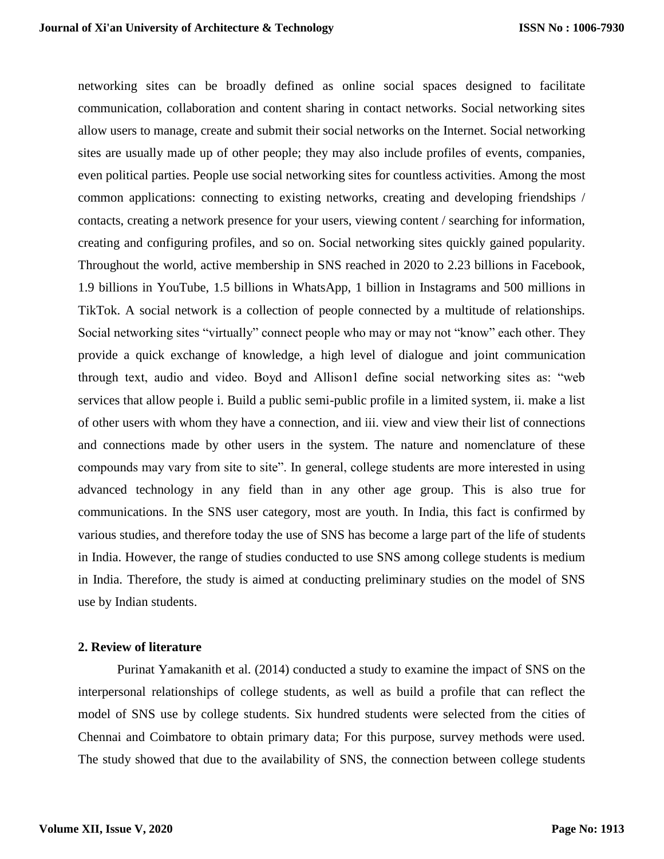networking sites can be broadly defined as online social spaces designed to facilitate communication, collaboration and content sharing in contact networks. Social networking sites allow users to manage, create and submit their social networks on the Internet. Social networking sites are usually made up of other people; they may also include profiles of events, companies, even political parties. People use social networking sites for countless activities. Among the most common applications: connecting to existing networks, creating and developing friendships / contacts, creating a network presence for your users, viewing content / searching for information, creating and configuring profiles, and so on. Social networking sites quickly gained popularity. Throughout the world, active membership in SNS reached in 2020 to 2.23 billions in Facebook, 1.9 billions in YouTube, 1.5 billions in WhatsApp, 1 billion in Instagrams and 500 millions in TikTok. A social network is a collection of people connected by a multitude of relationships. Social networking sites "virtually" connect people who may or may not "know" each other. They provide a quick exchange of knowledge, a high level of dialogue and joint communication through text, audio and video. Boyd and Allison1 define social networking sites as: "web services that allow people i. Build a public semi-public profile in a limited system, ii. make a list of other users with whom they have a connection, and iii. view and view their list of connections and connections made by other users in the system. The nature and nomenclature of these compounds may vary from site to site". In general, college students are more interested in using advanced technology in any field than in any other age group. This is also true for communications. In the SNS user category, most are youth. In India, this fact is confirmed by various studies, and therefore today the use of SNS has become a large part of the life of students in India. However, the range of studies conducted to use SNS among college students is medium in India. Therefore, the study is aimed at conducting preliminary studies on the model of SNS use by Indian students.

#### **2. Review of literature**

Purinat Yamakanith et al. (2014) conducted a study to examine the impact of SNS on the interpersonal relationships of college students, as well as build a profile that can reflect the model of SNS use by college students. Six hundred students were selected from the cities of Chennai and Coimbatore to obtain primary data; For this purpose, survey methods were used. The study showed that due to the availability of SNS, the connection between college students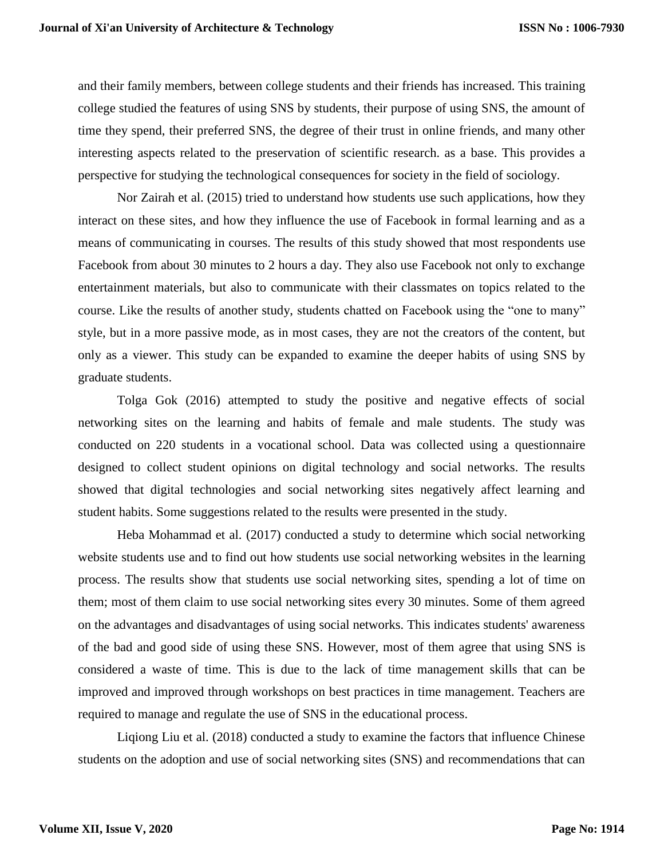and their family members, between college students and their friends has increased. This training college studied the features of using SNS by students, their purpose of using SNS, the amount of time they spend, their preferred SNS, the degree of their trust in online friends, and many other interesting aspects related to the preservation of scientific research. as a base. This provides a perspective for studying the technological consequences for society in the field of sociology.

Nor Zairah et al. (2015) tried to understand how students use such applications, how they interact on these sites, and how they influence the use of Facebook in formal learning and as a means of communicating in courses. The results of this study showed that most respondents use Facebook from about 30 minutes to 2 hours a day. They also use Facebook not only to exchange entertainment materials, but also to communicate with their classmates on topics related to the course. Like the results of another study, students chatted on Facebook using the "one to many" style, but in a more passive mode, as in most cases, they are not the creators of the content, but only as a viewer. This study can be expanded to examine the deeper habits of using SNS by graduate students.

Tolga Gok (2016) attempted to study the positive and negative effects of social networking sites on the learning and habits of female and male students. The study was conducted on 220 students in a vocational school. Data was collected using a questionnaire designed to collect student opinions on digital technology and social networks. The results showed that digital technologies and social networking sites negatively affect learning and student habits. Some suggestions related to the results were presented in the study.

Heba Mohammad et al. (2017) conducted a study to determine which social networking website students use and to find out how students use social networking websites in the learning process. The results show that students use social networking sites, spending a lot of time on them; most of them claim to use social networking sites every 30 minutes. Some of them agreed on the advantages and disadvantages of using social networks. This indicates students' awareness of the bad and good side of using these SNS. However, most of them agree that using SNS is considered a waste of time. This is due to the lack of time management skills that can be improved and improved through workshops on best practices in time management. Teachers are required to manage and regulate the use of SNS in the educational process.

Liqiong Liu et al. (2018) conducted a study to examine the factors that influence Chinese students on the adoption and use of social networking sites (SNS) and recommendations that can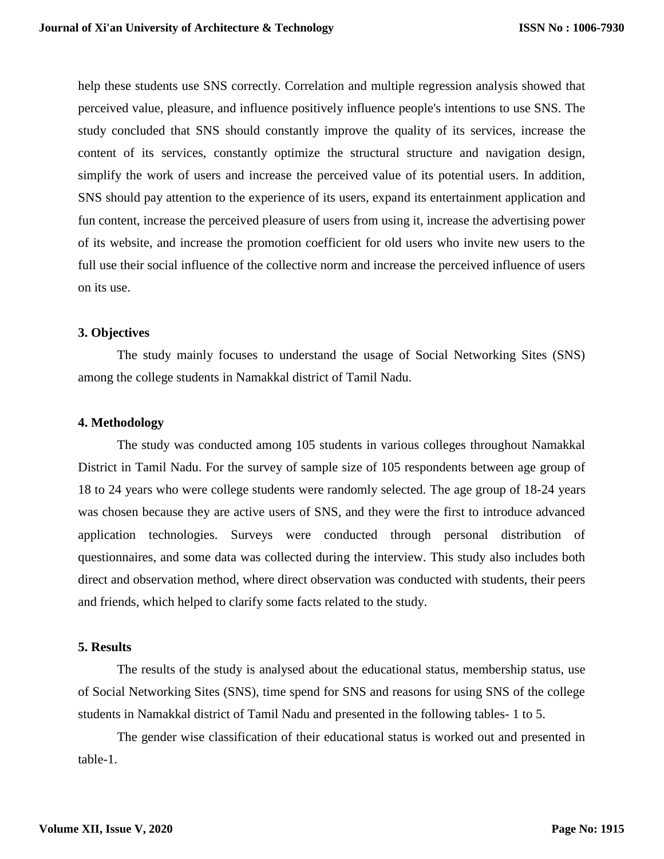help these students use SNS correctly. Correlation and multiple regression analysis showed that perceived value, pleasure, and influence positively influence people's intentions to use SNS. The study concluded that SNS should constantly improve the quality of its services, increase the content of its services, constantly optimize the structural structure and navigation design, simplify the work of users and increase the perceived value of its potential users. In addition, SNS should pay attention to the experience of its users, expand its entertainment application and fun content, increase the perceived pleasure of users from using it, increase the advertising power of its website, and increase the promotion coefficient for old users who invite new users to the full use their social influence of the collective norm and increase the perceived influence of users on its use.

#### **3. Objectives**

The study mainly focuses to understand the usage of Social Networking Sites (SNS) among the college students in Namakkal district of Tamil Nadu.

#### **4. Methodology**

The study was conducted among 105 students in various colleges throughout Namakkal District in Tamil Nadu. For the survey of sample size of 105 respondents between age group of 18 to 24 years who were college students were randomly selected. The age group of 18-24 years was chosen because they are active users of SNS, and they were the first to introduce advanced application technologies. Surveys were conducted through personal distribution of questionnaires, and some data was collected during the interview. This study also includes both direct and observation method, where direct observation was conducted with students, their peers and friends, which helped to clarify some facts related to the study.

#### **5. Results**

The results of the study is analysed about the educational status, membership status, use of Social Networking Sites (SNS), time spend for SNS and reasons for using SNS of the college students in Namakkal district of Tamil Nadu and presented in the following tables- 1 to 5.

The gender wise classification of their educational status is worked out and presented in table-1.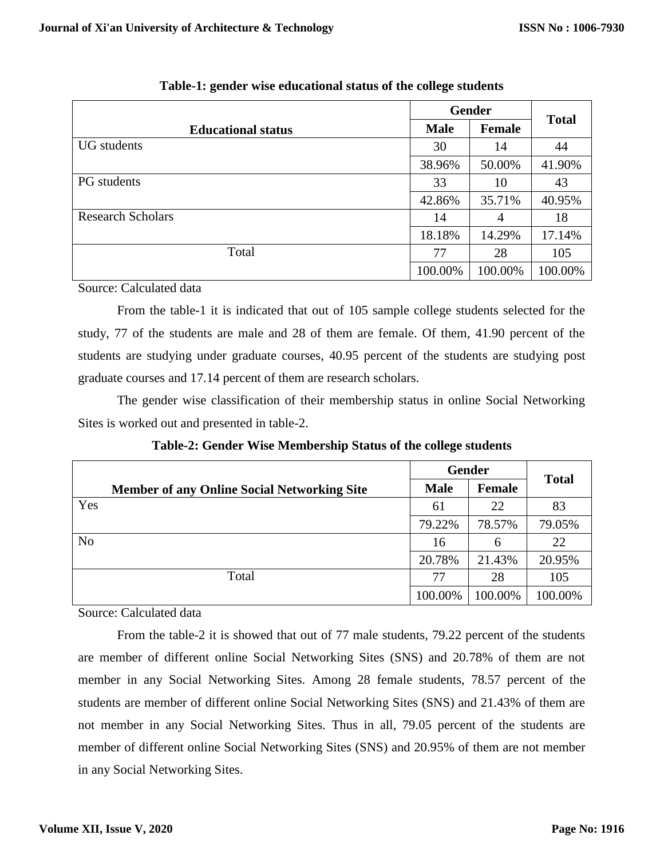|                           |             | <b>Gender</b> | <b>Total</b> |
|---------------------------|-------------|---------------|--------------|
| <b>Educational status</b> | <b>Male</b> | <b>Female</b> |              |
| <b>UG</b> students        | 30          | 14            | 44           |
|                           | 38.96%      | 50.00%        | 41.90%       |
| <b>PG</b> students        | 33          | 10            | 43           |
|                           | 42.86%      | 35.71%        | 40.95%       |
| <b>Research Scholars</b>  | 14          | 4             | 18           |
|                           | 18.18%      | 14.29%        | 17.14%       |
| Total                     | 77          | 28            | 105          |
|                           | 100.00%     | 100.00%       | 100.00%      |

**Table-1: gender wise educational status of the college students**

Source: Calculated data

From the table-1 it is indicated that out of 105 sample college students selected for the study, 77 of the students are male and 28 of them are female. Of them, 41.90 percent of the students are studying under graduate courses, 40.95 percent of the students are studying post graduate courses and 17.14 percent of them are research scholars.

The gender wise classification of their membership status in online Social Networking Sites is worked out and presented in table-2.

|                                                    |             | <b>Gender</b> |              |
|----------------------------------------------------|-------------|---------------|--------------|
| <b>Member of any Online Social Networking Site</b> | <b>Male</b> | Female        | <b>Total</b> |
| Yes                                                | 61          | 22            | 83           |
|                                                    | 79.22%      | 78.57%        | 79.05%       |
| N <sub>o</sub>                                     | 16          | 6             | 22           |
|                                                    | 20.78%      | 21.43%        | 20.95%       |
| Total                                              | 77          | 28            | 105          |
|                                                    | 100.00%     | 100.00%       | 100.00%      |

**Table-2: Gender Wise Membership Status of the college students**

Source: Calculated data

From the table-2 it is showed that out of 77 male students, 79.22 percent of the students are member of different online Social Networking Sites (SNS) and 20.78% of them are not member in any Social Networking Sites. Among 28 female students, 78.57 percent of the students are member of different online Social Networking Sites (SNS) and 21.43% of them are not member in any Social Networking Sites. Thus in all, 79.05 percent of the students are member of different online Social Networking Sites (SNS) and 20.95% of them are not member in any Social Networking Sites.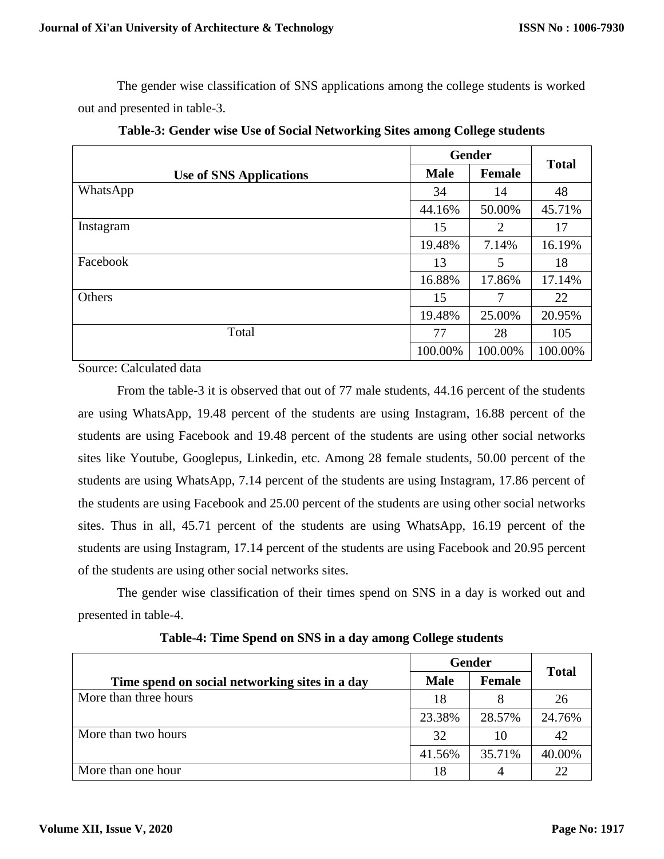The gender wise classification of SNS applications among the college students is worked out and presented in table-3.

|                                |             | <b>Gender</b> | <b>Total</b> |
|--------------------------------|-------------|---------------|--------------|
| <b>Use of SNS Applications</b> | <b>Male</b> | <b>Female</b> |              |
| WhatsApp                       | 34          | 14            | 48           |
|                                | 44.16%      | 50.00%        | 45.71%       |
| Instagram                      | 15          | 2             | 17           |
|                                | 19.48%      | 7.14%         | 16.19%       |
| Facebook                       | 13          | 5             | 18           |
|                                | 16.88%      | 17.86%        | 17.14%       |
| Others                         | 15          | 7             | 22           |
|                                | 19.48%      | 25.00%        | 20.95%       |
| Total                          | 77          | 28            | 105          |
|                                | 100.00%     | 100.00%       | 100.00%      |

**Table-3: Gender wise Use of Social Networking Sites among College students**

Source: Calculated data

From the table-3 it is observed that out of 77 male students, 44.16 percent of the students are using WhatsApp, 19.48 percent of the students are using Instagram, 16.88 percent of the students are using Facebook and 19.48 percent of the students are using other social networks sites like Youtube, Googlepus, Linkedin, etc. Among 28 female students, 50.00 percent of the students are using WhatsApp, 7.14 percent of the students are using Instagram, 17.86 percent of the students are using Facebook and 25.00 percent of the students are using other social networks sites. Thus in all, 45.71 percent of the students are using WhatsApp, 16.19 percent of the students are using Instagram, 17.14 percent of the students are using Facebook and 20.95 percent of the students are using other social networks sites.

The gender wise classification of their times spend on SNS in a day is worked out and presented in table-4.

|                                                |             | <b>Gender</b> |              |
|------------------------------------------------|-------------|---------------|--------------|
| Time spend on social networking sites in a day | <b>Male</b> | <b>Female</b> | <b>Total</b> |
| More than three hours                          | 18          |               | 26           |
|                                                | 23.38%      | 28.57%        | 24.76%       |
| More than two hours                            | 32          | 10            | 42           |
|                                                | 41.56%      | 35.71%        | 40.00%       |
| More than one hour                             | 18          |               | 22           |

**Table-4: Time Spend on SNS in a day among College students**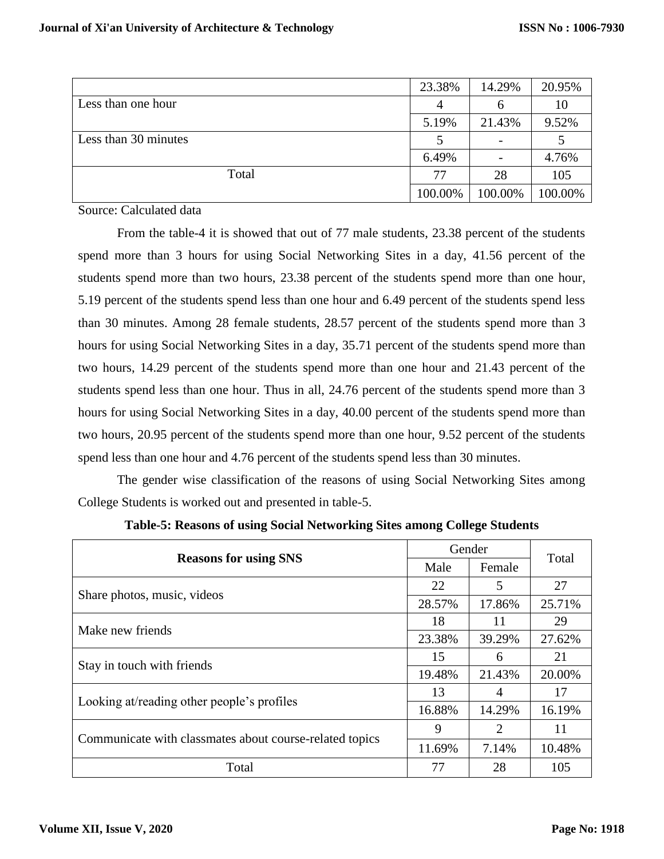|                      | 23.38%  | 14.29%   | 20.95%  |
|----------------------|---------|----------|---------|
| Less than one hour   | 4       | $\sigma$ | 10      |
|                      | 5.19%   | 21.43%   | 9.52%   |
| Less than 30 minutes |         |          |         |
|                      | 6.49%   |          | 4.76%   |
| Total                | 77      | 28       | 105     |
|                      | 100.00% | 100.00%  | 100.00% |

Source: Calculated data

From the table-4 it is showed that out of 77 male students, 23.38 percent of the students spend more than 3 hours for using Social Networking Sites in a day, 41.56 percent of the students spend more than two hours, 23.38 percent of the students spend more than one hour, 5.19 percent of the students spend less than one hour and 6.49 percent of the students spend less than 30 minutes. Among 28 female students, 28.57 percent of the students spend more than 3 hours for using Social Networking Sites in a day, 35.71 percent of the students spend more than two hours, 14.29 percent of the students spend more than one hour and 21.43 percent of the students spend less than one hour. Thus in all, 24.76 percent of the students spend more than 3 hours for using Social Networking Sites in a day, 40.00 percent of the students spend more than two hours, 20.95 percent of the students spend more than one hour, 9.52 percent of the students spend less than one hour and 4.76 percent of the students spend less than 30 minutes.

The gender wise classification of the reasons of using Social Networking Sites among College Students is worked out and presented in table-5.

|                                                         |        | Gender | Total  |
|---------------------------------------------------------|--------|--------|--------|
| <b>Reasons for using SNS</b>                            | Male   | Female |        |
| Share photos, music, videos                             | 22     | 5      | 27     |
|                                                         | 28.57% | 17.86% | 25.71% |
| Make new friends                                        | 18     | 11     | 29     |
|                                                         | 23.38% | 39.29% | 27.62% |
| Stay in touch with friends                              | 15     | 6      | 21     |
|                                                         | 19.48% | 21.43% | 20.00% |
|                                                         | 13     | 4      | 17     |
| Looking at/reading other people's profiles              | 16.88% | 14.29% | 16.19% |
|                                                         | 9      | 2      | 11     |
| Communicate with classmates about course-related topics | 11.69% | 7.14%  | 10.48% |
| Total                                                   | 77     | 28     | 105    |

**Table-5: Reasons of using Social Networking Sites among College Students**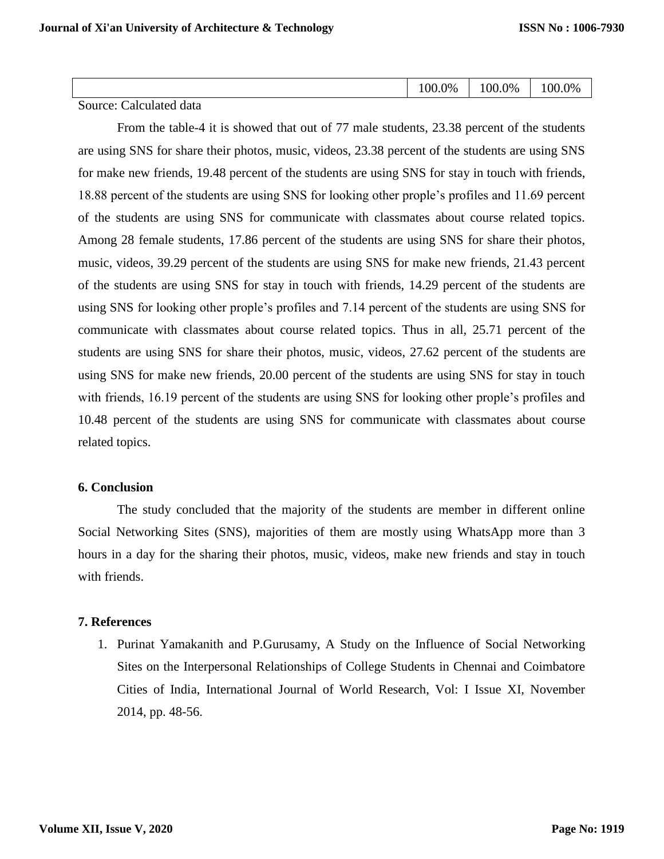| $00.0\%$<br>$00.0\%$<br>$0\%$<br>0.00 |
|---------------------------------------|
|---------------------------------------|

Source: Calculated data

From the table-4 it is showed that out of 77 male students, 23.38 percent of the students are using SNS for share their photos, music, videos, 23.38 percent of the students are using SNS for make new friends, 19.48 percent of the students are using SNS for stay in touch with friends, 18.88 percent of the students are using SNS for looking other prople's profiles and 11.69 percent of the students are using SNS for communicate with classmates about course related topics. Among 28 female students, 17.86 percent of the students are using SNS for share their photos, music, videos, 39.29 percent of the students are using SNS for make new friends, 21.43 percent of the students are using SNS for stay in touch with friends, 14.29 percent of the students are using SNS for looking other prople's profiles and 7.14 percent of the students are using SNS for communicate with classmates about course related topics. Thus in all, 25.71 percent of the students are using SNS for share their photos, music, videos, 27.62 percent of the students are using SNS for make new friends, 20.00 percent of the students are using SNS for stay in touch with friends, 16.19 percent of the students are using SNS for looking other prople's profiles and 10.48 percent of the students are using SNS for communicate with classmates about course related topics.

#### **6. Conclusion**

The study concluded that the majority of the students are member in different online Social Networking Sites (SNS), majorities of them are mostly using WhatsApp more than 3 hours in a day for the sharing their photos, music, videos, make new friends and stay in touch with friends.

## **7. References**

1. Purinat Yamakanith and P.Gurusamy, A Study on the Influence of Social Networking Sites on the Interpersonal Relationships of College Students in Chennai and Coimbatore Cities of India, International Journal of World Research, Vol: I Issue XI, November 2014, pp. 48-56.